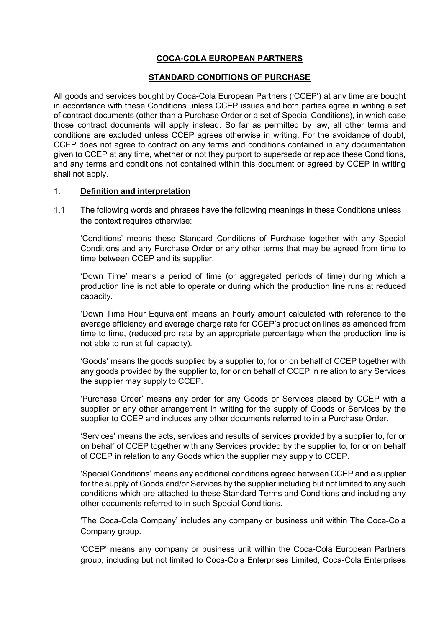# **COCA-COLA EUROPEAN PARTNERS**

### **STANDARD CONDITIONS OF PURCHASE**

All goods and services bought by Coca-Cola European Partners ('CCEP') at any time are bought in accordance with these Conditions unless CCEP issues and both parties agree in writing a set of contract documents (other than a Purchase Order or a set of Special Conditions), in which case those contract documents will apply instead. So far as permitted by law, all other terms and conditions are excluded unless CCEP agrees otherwise in writing. For the avoidance of doubt, CCEP does not agree to contract on any terms and conditions contained in any documentation given to CCEP at any time, whether or not they purport to supersede or replace these Conditions, and any terms and conditions not contained within this document or agreed by CCEP in writing shall not apply.

### 1. **Definition and interpretation**

1.1 The following words and phrases have the following meanings in these Conditions unless the context requires otherwise:

'Conditions' means these Standard Conditions of Purchase together with any Special Conditions and any Purchase Order or any other terms that may be agreed from time to time between CCEP and its supplier.

'Down Time' means a period of time (or aggregated periods of time) during which a production line is not able to operate or during which the production line runs at reduced capacity.

'Down Time Hour Equivalent' means an hourly amount calculated with reference to the average efficiency and average charge rate for CCEP's production lines as amended from time to time, (reduced pro rata by an appropriate percentage when the production line is not able to run at full capacity).

'Goods' means the goods supplied by a supplier to, for or on behalf of CCEP together with any goods provided by the supplier to, for or on behalf of CCEP in relation to any Services the supplier may supply to CCEP.

'Purchase Order' means any order for any Goods or Services placed by CCEP with a supplier or any other arrangement in writing for the supply of Goods or Services by the supplier to CCEP and includes any other documents referred to in a Purchase Order.

'Services' means the acts, services and results of services provided by a supplier to, for or on behalf of CCEP together with any Services provided by the supplier to, for or on behalf of CCEP in relation to any Goods which the supplier may supply to CCEP.

'Special Conditions' means any additional conditions agreed between CCEP and a supplier for the supply of Goods and/or Services by the supplier including but not limited to any such conditions which are attached to these Standard Terms and Conditions and including any other documents referred to in such Special Conditions.

'The Coca-Cola Company' includes any company or business unit within The Coca-Cola Company group.

'CCEP' means any company or business unit within the Coca-Cola European Partners group, including but not limited to Coca-Cola Enterprises Limited, Coca-Cola Enterprises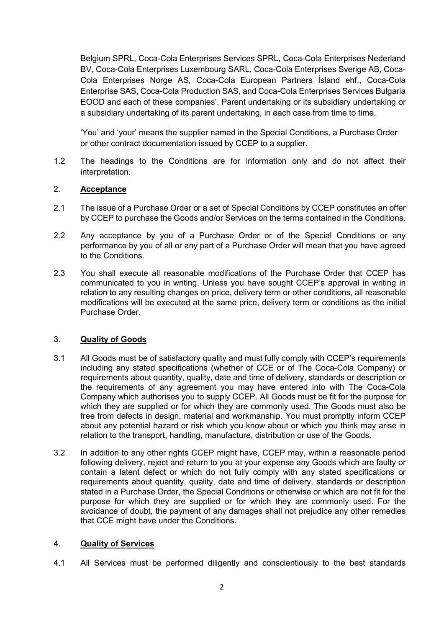Belgium SPRL, Coca-Cola Enterprises Services SPRL, Coca-Cola Enterprises Nederland BV, Coca-Cola Enterprises Luxembourg SARL, Coca-Cola Enterprises Sverige AB, Coca-Cola Enterprises Norge AS, Coca-Cola European Partners Ísland ehf., Coca-Cola Enterprise SAS, Coca-Cola Production SAS, and Coca-Cola Enterprises Services Bulgaria EOOD and each of these companies'. Parent undertaking or its subsidiary undertaking or a subsidiary undertaking of its parent undertaking, in each case from time to time.

'You' and 'your' means the supplier named in the Special Conditions, a Purchase Order or other contract documentation issued by CCEP to a supplier.

1.2 The headings to the Conditions are for information only and do not affect their interpretation.

## 2. **Acceptance**

- 2.1 The issue of a Purchase Order or a set of Special Conditions by CCEP constitutes an offer by CCEP to purchase the Goods and/or Services on the terms contained in the Conditions.
- 2.2 Any acceptance by you of a Purchase Order or of the Special Conditions or any performance by you of all or any part of a Purchase Order will mean that you have agreed to the Conditions.
- 2.3 You shall execute all reasonable modifications of the Purchase Order that CCEP has communicated to you in writing. Unless you have sought CCEP's approval in writing in relation to any resulting changes on price, delivery term or other conditions, all reasonable modifications will be executed at the same price, delivery term or conditions as the initial Purchase Order.

# 3. **Quality of Goods**

- 3.1 All Goods must be of satisfactory quality and must fully comply with CCEP's requirements including any stated specifications (whether of CCE or of The Coca-Cola Company) or requirements about quantity, quality, date and time of delivery, standards or description or the requirements of any agreement you may have entered into with The Coca-Cola Company which authorises you to supply CCEP. All Goods must be fit for the purpose for which they are supplied or for which they are commonly used. The Goods must also be free from defects in design, material and workmanship. You must promptly inform CCEP about any potential hazard or risk which you know about or which you think may arise in relation to the transport, handling, manufacture, distribution or use of the Goods.
- 3.2 In addition to any other rights CCEP might have, CCEP may, within a reasonable period following delivery, reject and return to you at your expense any Goods which are faulty or contain a latent defect or which do not fully comply with any stated specifications or requirements about quantity, quality, date and time of delivery, standards or description stated in a Purchase Order, the Special Conditions or otherwise or which are not fit for the purpose for which they are supplied or for which they are commonly used. For the avoidance of doubt, the payment of any damages shall not prejudice any other remedies that CCE might have under the Conditions.

### 4. **Quality of Services**

4.1 All Services must be performed diligently and conscientiously to the best standards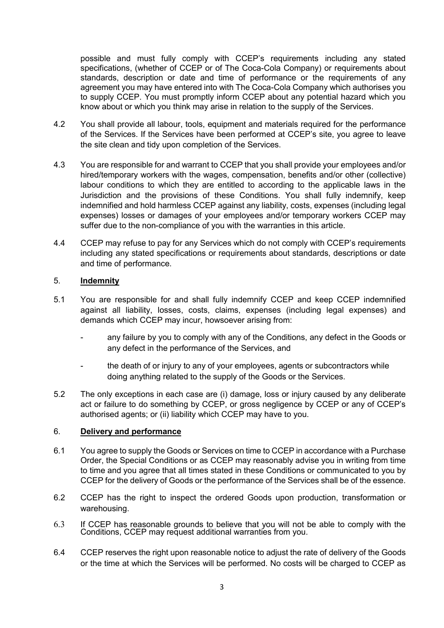possible and must fully comply with CCEP's requirements including any stated specifications, (whether of CCEP or of The Coca-Cola Company) or requirements about standards, description or date and time of performance or the requirements of any agreement you may have entered into with The Coca-Cola Company which authorises you to supply CCEP. You must promptly inform CCEP about any potential hazard which you know about or which you think may arise in relation to the supply of the Services.

- 4.2 You shall provide all labour, tools, equipment and materials required for the performance of the Services. If the Services have been performed at CCEP's site, you agree to leave the site clean and tidy upon completion of the Services.
- 4.3 You are responsible for and warrant to CCEP that you shall provide your employees and/or hired/temporary workers with the wages, compensation, benefits and/or other (collective) labour conditions to which they are entitled to according to the applicable laws in the Jurisdiction and the provisions of these Conditions. You shall fully indemnify, keep indemnified and hold harmless CCEP against any liability, costs, expenses (including legal expenses) losses or damages of your employees and/or temporary workers CCEP may suffer due to the non-compliance of you with the warranties in this article.
- 4.4 CCEP may refuse to pay for any Services which do not comply with CCEP's requirements including any stated specifications or requirements about standards, descriptions or date and time of performance.

### 5. **Indemnity**

- 5.1 You are responsible for and shall fully indemnify CCEP and keep CCEP indemnified against all liability, losses, costs, claims, expenses (including legal expenses) and demands which CCEP may incur, howsoever arising from:
	- any failure by you to comply with any of the Conditions, any defect in the Goods or any defect in the performance of the Services, and
	- the death of or injury to any of your employees, agents or subcontractors while doing anything related to the supply of the Goods or the Services.
- 5.2 The only exceptions in each case are (i) damage, loss or injury caused by any deliberate act or failure to do something by CCEP, or gross negligence by CCEP or any of CCEP's authorised agents; or (ii) liability which CCEP may have to you.

### 6. **Delivery and performance**

- 6.1 You agree to supply the Goods or Services on time to CCEP in accordance with a Purchase Order, the Special Conditions or as CCEP may reasonably advise you in writing from time to time and you agree that all times stated in these Conditions or communicated to you by CCEP for the delivery of Goods or the performance of the Services shall be of the essence.
- 6.2 CCEP has the right to inspect the ordered Goods upon production, transformation or warehousing.
- 6.3 If CCEP has reasonable grounds to believe that you will not be able to comply with the Conditions, CCEP may request additional warranties from you.
- 6.4 CCEP reserves the right upon reasonable notice to adjust the rate of delivery of the Goods or the time at which the Services will be performed. No costs will be charged to CCEP as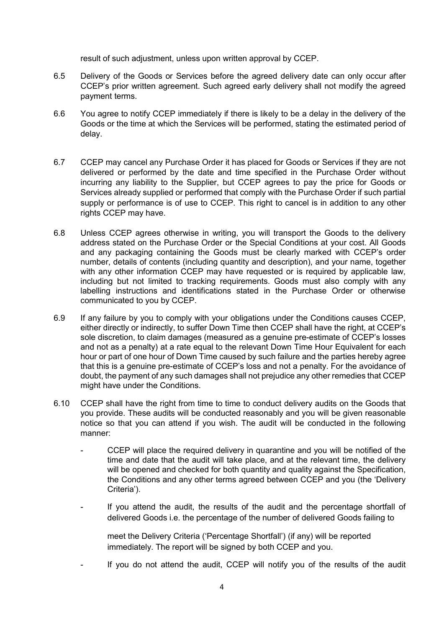result of such adjustment, unless upon written approval by CCEP.

- 6.5 Delivery of the Goods or Services before the agreed delivery date can only occur after CCEP's prior written agreement. Such agreed early delivery shall not modify the agreed payment terms.
- 6.6 You agree to notify CCEP immediately if there is likely to be a delay in the delivery of the Goods or the time at which the Services will be performed, stating the estimated period of delay.
- 6.7 CCEP may cancel any Purchase Order it has placed for Goods or Services if they are not delivered or performed by the date and time specified in the Purchase Order without incurring any liability to the Supplier, but CCEP agrees to pay the price for Goods or Services already supplied or performed that comply with the Purchase Order if such partial supply or performance is of use to CCEP. This right to cancel is in addition to any other rights CCEP may have.
- 6.8 Unless CCEP agrees otherwise in writing, you will transport the Goods to the delivery address stated on the Purchase Order or the Special Conditions at your cost. All Goods and any packaging containing the Goods must be clearly marked with CCEP's order number, details of contents (including quantity and description), and your name, together with any other information CCEP may have requested or is required by applicable law, including but not limited to tracking requirements. Goods must also comply with any labelling instructions and identifications stated in the Purchase Order or otherwise communicated to you by CCEP.
- 6.9 If any failure by you to comply with your obligations under the Conditions causes CCEP, either directly or indirectly, to suffer Down Time then CCEP shall have the right, at CCEP's sole discretion, to claim damages (measured as a genuine pre-estimate of CCEP's losses and not as a penalty) at a rate equal to the relevant Down Time Hour Equivalent for each hour or part of one hour of Down Time caused by such failure and the parties hereby agree that this is a genuine pre-estimate of CCEP's loss and not a penalty. For the avoidance of doubt, the payment of any such damages shall not prejudice any other remedies that CCEP might have under the Conditions.
- 6.10 CCEP shall have the right from time to time to conduct delivery audits on the Goods that you provide. These audits will be conducted reasonably and you will be given reasonable notice so that you can attend if you wish. The audit will be conducted in the following manner:
	- CCEP will place the required delivery in quarantine and you will be notified of the time and date that the audit will take place, and at the relevant time, the delivery will be opened and checked for both quantity and quality against the Specification, the Conditions and any other terms agreed between CCEP and you (the 'Delivery Criteria').
	- If you attend the audit, the results of the audit and the percentage shortfall of delivered Goods i.e. the percentage of the number of delivered Goods failing to

meet the Delivery Criteria ('Percentage Shortfall') (if any) will be reported immediately. The report will be signed by both CCEP and you.

If you do not attend the audit, CCEP will notify you of the results of the audit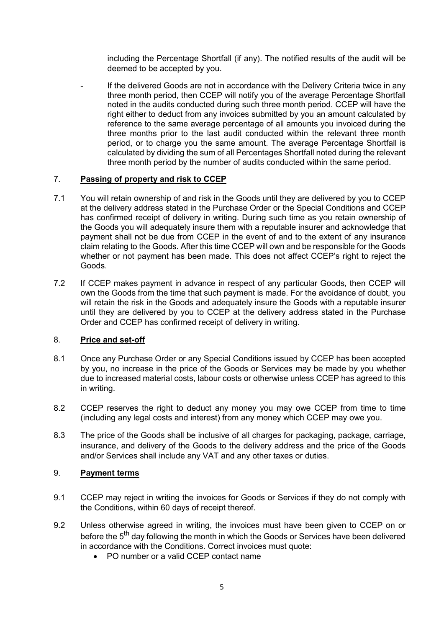including the Percentage Shortfall (if any). The notified results of the audit will be deemed to be accepted by you.

If the delivered Goods are not in accordance with the Delivery Criteria twice in any three month period, then CCEP will notify you of the average Percentage Shortfall noted in the audits conducted during such three month period. CCEP will have the right either to deduct from any invoices submitted by you an amount calculated by reference to the same average percentage of all amounts you invoiced during the three months prior to the last audit conducted within the relevant three month period, or to charge you the same amount. The average Percentage Shortfall is calculated by dividing the sum of all Percentages Shortfall noted during the relevant three month period by the number of audits conducted within the same period.

## 7. **Passing of property and risk to CCEP**

- 7.1 You will retain ownership of and risk in the Goods until they are delivered by you to CCEP at the delivery address stated in the Purchase Order or the Special Conditions and CCEP has confirmed receipt of delivery in writing. During such time as you retain ownership of the Goods you will adequately insure them with a reputable insurer and acknowledge that payment shall not be due from CCEP in the event of and to the extent of any insurance claim relating to the Goods. After this time CCEP will own and be responsible for the Goods whether or not payment has been made. This does not affect CCEP's right to reject the Goods.
- 7.2 If CCEP makes payment in advance in respect of any particular Goods, then CCEP will own the Goods from the time that such payment is made. For the avoidance of doubt, you will retain the risk in the Goods and adequately insure the Goods with a reputable insurer until they are delivered by you to CCEP at the delivery address stated in the Purchase Order and CCEP has confirmed receipt of delivery in writing.

### 8. **Price and set-off**

- 8.1 Once any Purchase Order or any Special Conditions issued by CCEP has been accepted by you, no increase in the price of the Goods or Services may be made by you whether due to increased material costs, labour costs or otherwise unless CCEP has agreed to this in writing.
- 8.2 CCEP reserves the right to deduct any money you may owe CCEP from time to time (including any legal costs and interest) from any money which CCEP may owe you.
- 8.3 The price of the Goods shall be inclusive of all charges for packaging, package, carriage, insurance, and delivery of the Goods to the delivery address and the price of the Goods and/or Services shall include any VAT and any other taxes or duties.

### 9. **Payment terms**

- 9.1 CCEP may reject in writing the invoices for Goods or Services if they do not comply with the Conditions, within 60 days of receipt thereof.
- 9.2 Unless otherwise agreed in writing, the invoices must have been given to CCEP on or before the 5<sup>th</sup> day following the month in which the Goods or Services have been delivered in accordance with the Conditions. Correct invoices must quote:
	- PO number or a valid CCEP contact name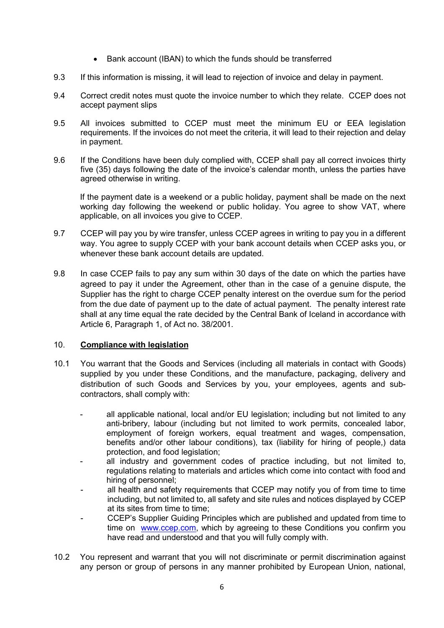- Bank account (IBAN) to which the funds should be transferred
- 9.3 If this information is missing, it will lead to rejection of invoice and delay in payment.
- 9.4 Correct credit notes must quote the invoice number to which they relate. CCEP does not accept payment slips
- 9.5 All invoices submitted to CCEP must meet the minimum EU or EEA legislation requirements. If the invoices do not meet the criteria, it will lead to their rejection and delay in payment.
- 9.6 If the Conditions have been duly complied with, CCEP shall pay all correct invoices thirty five (35) days following the date of the invoice's calendar month, unless the parties have agreed otherwise in writing.

If the payment date is a weekend or a public holiday, payment shall be made on the next working day following the weekend or public holiday. You agree to show VAT, where applicable, on all invoices you give to CCEP.

- 9.7 CCEP will pay you by wire transfer, unless CCEP agrees in writing to pay you in a different way. You agree to supply CCEP with your bank account details when CCEP asks you, or whenever these bank account details are updated.
- 9.8 In case CCEP fails to pay any sum within 30 days of the date on which the parties have agreed to pay it under the Agreement, other than in the case of a genuine dispute, the Supplier has the right to charge CCEP penalty interest on the overdue sum for the period from the due date of payment up to the date of actual payment. The penalty interest rate shall at any time equal the rate decided by the Central Bank of Iceland in accordance with Article 6, Paragraph 1, of Act no. 38/2001.

### 10. **Compliance with legislation**

- 10.1 You warrant that the Goods and Services (including all materials in contact with Goods) supplied by you under these Conditions, and the manufacture, packaging, delivery and distribution of such Goods and Services by you, your employees, agents and subcontractors, shall comply with:
	- all applicable national, local and/or EU legislation; including but not limited to any anti-bribery, labour (including but not limited to work permits, concealed labor, employment of foreign workers, equal treatment and wages, compensation, benefits and/or other labour conditions), tax (liability for hiring of people,) data protection, and food legislation;
	- all industry and government codes of practice including, but not limited to, regulations relating to materials and articles which come into contact with food and hiring of personnel;
	- all health and safety requirements that CCEP may notify you of from time to time including, but not limited to, all safety and site rules and notices displayed by CCEP at its sites from time to time;
	- CCEP's Supplier Guiding Principles which are published and updated from time to time on www.ccep.com, which by agreeing to these Conditions you confirm you have read and understood and that you will fully comply with.
- 10.2 You represent and warrant that you will not discriminate or permit discrimination against any person or group of persons in any manner prohibited by European Union, national,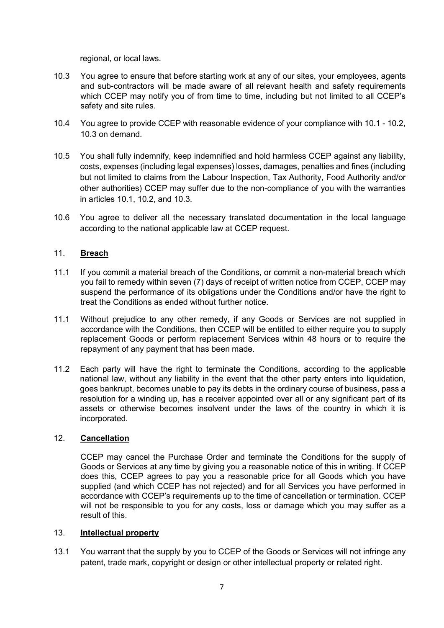regional, or local laws.

- 10.3 You agree to ensure that before starting work at any of our sites, your employees, agents and sub-contractors will be made aware of all relevant health and safety requirements which CCEP may notify you of from time to time, including but not limited to all CCEP's safety and site rules.
- 10.4 You agree to provide CCEP with reasonable evidence of your compliance with 10.1 10.2, 10.3 on demand.
- 10.5 You shall fully indemnify, keep indemnified and hold harmless CCEP against any liability, costs, expenses (including legal expenses) losses, damages, penalties and fines (including but not limited to claims from the Labour Inspection, Tax Authority, Food Authority and/or other authorities) CCEP may suffer due to the non-compliance of you with the warranties in articles 10.1, 10.2, and 10.3.
- 10.6 You agree to deliver all the necessary translated documentation in the local language according to the national applicable law at CCEP request.

### 11. **Breach**

- 11.1 If you commit a material breach of the Conditions, or commit a non-material breach which you fail to remedy within seven (7) days of receipt of written notice from CCEP, CCEP may suspend the performance of its obligations under the Conditions and/or have the right to treat the Conditions as ended without further notice.
- 11.1 Without prejudice to any other remedy, if any Goods or Services are not supplied in accordance with the Conditions, then CCEP will be entitled to either require you to supply replacement Goods or perform replacement Services within 48 hours or to require the repayment of any payment that has been made.
- 11.2 Each party will have the right to terminate the Conditions, according to the applicable national law, without any liability in the event that the other party enters into liquidation, goes bankrupt, becomes unable to pay its debts in the ordinary course of business, pass a resolution for a winding up, has a receiver appointed over all or any significant part of its assets or otherwise becomes insolvent under the laws of the country in which it is incorporated.

### 12. **Cancellation**

CCEP may cancel the Purchase Order and terminate the Conditions for the supply of Goods or Services at any time by giving you a reasonable notice of this in writing. If CCEP does this, CCEP agrees to pay you a reasonable price for all Goods which you have supplied (and which CCEP has not rejected) and for all Services you have performed in accordance with CCEP's requirements up to the time of cancellation or termination. CCEP will not be responsible to you for any costs, loss or damage which you may suffer as a result of this.

### 13. **Intellectual property**

13.1 You warrant that the supply by you to CCEP of the Goods or Services will not infringe any patent, trade mark, copyright or design or other intellectual property or related right.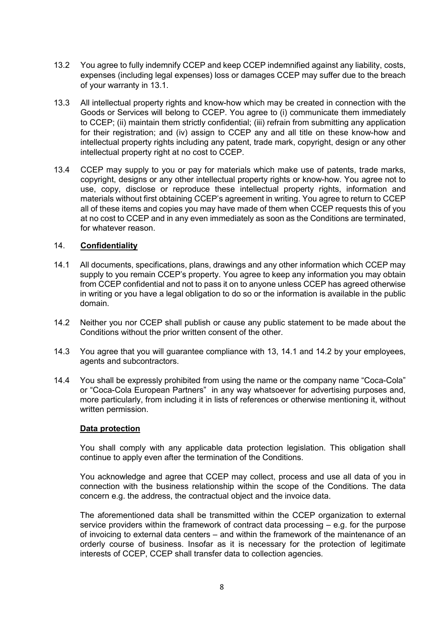- 13.2 You agree to fully indemnify CCEP and keep CCEP indemnified against any liability, costs, expenses (including legal expenses) loss or damages CCEP may suffer due to the breach of your warranty in 13.1.
- 13.3 All intellectual property rights and know-how which may be created in connection with the Goods or Services will belong to CCEP. You agree to (i) communicate them immediately to CCEP; (ii) maintain them strictly confidential; (iii) refrain from submitting any application for their registration; and (iv) assign to CCEP any and all title on these know-how and intellectual property rights including any patent, trade mark, copyright, design or any other intellectual property right at no cost to CCEP.
- 13.4 CCEP may supply to you or pay for materials which make use of patents, trade marks, copyright, designs or any other intellectual property rights or know-how. You agree not to use, copy, disclose or reproduce these intellectual property rights, information and materials without first obtaining CCEP's agreement in writing. You agree to return to CCEP all of these items and copies you may have made of them when CCEP requests this of you at no cost to CCEP and in any even immediately as soon as the Conditions are terminated, for whatever reason.

#### 14. **Confidentiality**

- 14.1 All documents, specifications, plans, drawings and any other information which CCEP may supply to you remain CCEP's property. You agree to keep any information you may obtain from CCEP confidential and not to pass it on to anyone unless CCEP has agreed otherwise in writing or you have a legal obligation to do so or the information is available in the public domain.
- 14.2 Neither you nor CCEP shall publish or cause any public statement to be made about the Conditions without the prior written consent of the other.
- 14.3 You agree that you will guarantee compliance with 13, 14.1 and 14.2 by your employees, agents and subcontractors.
- 14.4 You shall be expressly prohibited from using the name or the company name "Coca-Cola" or "Coca-Cola European Partners" in any way whatsoever for advertising purposes and, more particularly, from including it in lists of references or otherwise mentioning it, without written permission.

#### **Data protection**

You shall comply with any applicable data protection legislation. This obligation shall continue to apply even after the termination of the Conditions.

You acknowledge and agree that CCEP may collect, process and use all data of you in connection with the business relationship within the scope of the Conditions. The data concern e.g. the address, the contractual object and the invoice data.

The aforementioned data shall be transmitted within the CCEP organization to external service providers within the framework of contract data processing – e.g. for the purpose of invoicing to external data centers – and within the framework of the maintenance of an orderly course of business. Insofar as it is necessary for the protection of legitimate interests of CCEP, CCEP shall transfer data to collection agencies.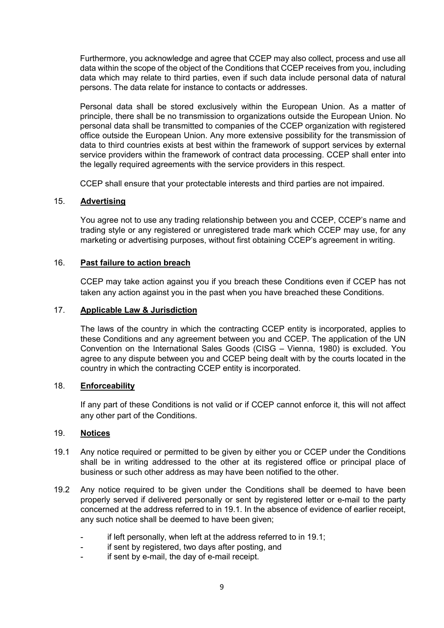Furthermore, you acknowledge and agree that CCEP may also collect, process and use all data within the scope of the object of the Conditions that CCEP receives from you, including data which may relate to third parties, even if such data include personal data of natural persons. The data relate for instance to contacts or addresses.

Personal data shall be stored exclusively within the European Union. As a matter of principle, there shall be no transmission to organizations outside the European Union. No personal data shall be transmitted to companies of the CCEP organization with registered office outside the European Union. Any more extensive possibility for the transmission of data to third countries exists at best within the framework of support services by external service providers within the framework of contract data processing. CCEP shall enter into the legally required agreements with the service providers in this respect.

CCEP shall ensure that your protectable interests and third parties are not impaired.

## 15. **Advertising**

You agree not to use any trading relationship between you and CCEP, CCEP's name and trading style or any registered or unregistered trade mark which CCEP may use, for any marketing or advertising purposes, without first obtaining CCEP's agreement in writing.

### 16. **Past failure to action breach**

CCEP may take action against you if you breach these Conditions even if CCEP has not taken any action against you in the past when you have breached these Conditions.

### 17. **Applicable Law & Jurisdiction**

The laws of the country in which the contracting CCEP entity is incorporated, applies to these Conditions and any agreement between you and CCEP. The application of the UN Convention on the International Sales Goods (CISG – Vienna, 1980) is excluded. You agree to any dispute between you and CCEP being dealt with by the courts located in the country in which the contracting CCEP entity is incorporated.

### 18. **Enforceability**

If any part of these Conditions is not valid or if CCEP cannot enforce it, this will not affect any other part of the Conditions.

#### 19. **Notices**

- 19.1 Any notice required or permitted to be given by either you or CCEP under the Conditions shall be in writing addressed to the other at its registered office or principal place of business or such other address as may have been notified to the other.
- 19.2 Any notice required to be given under the Conditions shall be deemed to have been properly served if delivered personally or sent by registered letter or e-mail to the party concerned at the address referred to in 19.1. In the absence of evidence of earlier receipt, any such notice shall be deemed to have been given;
	- if left personally, when left at the address referred to in 19.1;
	- if sent by registered, two days after posting, and
	- if sent by e-mail, the day of e-mail receipt.